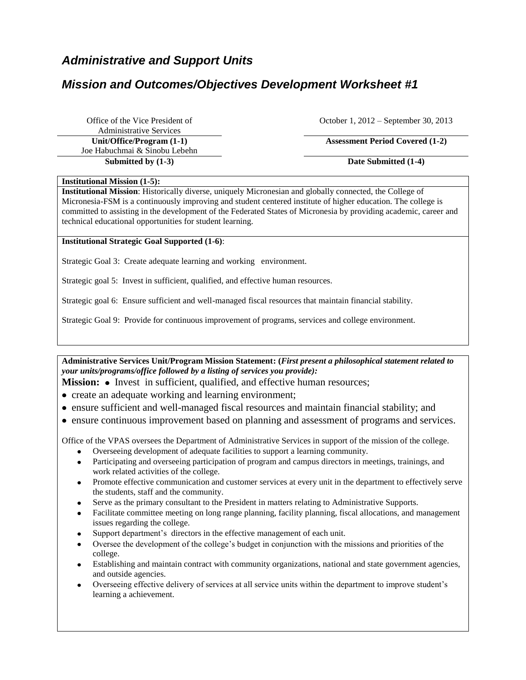# *Administrative and Support Units*

# *Mission and Outcomes/Objectives Development Worksheet #1*

Office of the Vice President of Administrative Services Joe Habuchmai & Sinobu Lebehn October 1, 2012 – September 30, 2013

### **Unit/Office/Program (1-1) Assessment Period Covered (1-2)**

**Submitted by (1-3) Date Submitted (1-4)**

#### **Institutional Mission (1-5):**

**Institutional Mission**: Historically diverse, uniquely Micronesian and globally connected, the College of Micronesia-FSM is a continuously improving and student centered institute of higher education. The college is committed to assisting in the development of the Federated States of Micronesia by providing academic, career and technical educational opportunities for student learning.

#### **Institutional Strategic Goal Supported (1-6)**:

Strategic Goal 3: Create adequate learning and working environment.

Strategic goal 5: Invest in sufficient, qualified, and effective human resources.

Strategic goal 6: Ensure sufficient and well-managed fiscal resources that maintain financial stability.

Strategic Goal 9: Provide for continuous improvement of programs, services and college environment.

**Administrative Services Unit/Program Mission Statement: (***First present a philosophical statement related to your units/programs/office followed by a listing of services you provide):*

**Mission:** • Invest in sufficient, qualified, and effective human resources;

- create an adequate working and learning environment;
- ensure sufficient and well-managed fiscal resources and maintain financial stability; and
- ensure continuous improvement based on planning and assessment of programs and services.

Office of the VPAS oversees the Department of Administrative Services in support of the mission of the college.

- Overseeing development of adequate facilities to support a learning community.
- Participating and overseeing participation of program and campus directors in meetings, trainings, and work related activities of the college.
- Promote effective communication and customer services at every unit in the department to effectively serve the students, staff and the community.
- Serve as the primary consultant to the President in matters relating to Administrative Supports.
- Facilitate committee meeting on long range planning, facility planning, fiscal allocations, and management issues regarding the college.
- Support department's directors in the effective management of each unit.
- Oversee the development of the college's budget in conjunction with the missions and priorities of the college.
- Establishing and maintain contract with community organizations, national and state government agencies, and outside agencies.
- Overseeing effective delivery of services at all service units within the department to improve student's learning a achievement.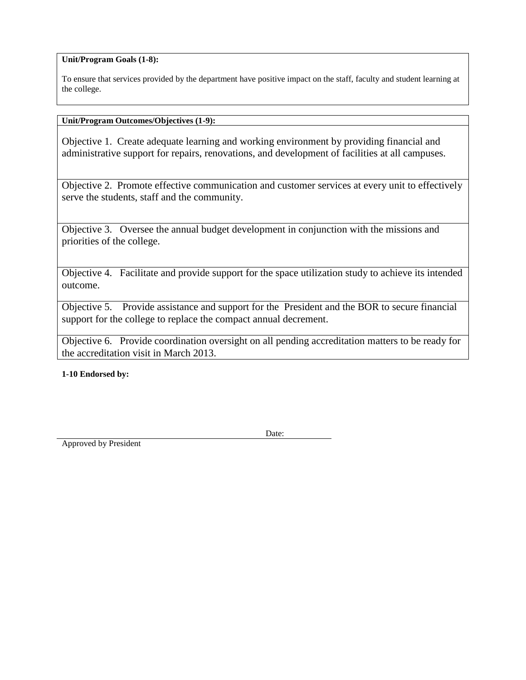**Unit/Program Goals (1-8):**

To ensure that services provided by the department have positive impact on the staff, faculty and student learning at the college.

#### **Unit/Program Outcomes/Objectives (1-9):**

Objective 1. Create adequate learning and working environment by providing financial and administrative support for repairs, renovations, and development of facilities at all campuses.

Objective 2. Promote effective communication and customer services at every unit to effectively serve the students, staff and the community.

Objective 3. Oversee the annual budget development in conjunction with the missions and priorities of the college.

Objective 4. Facilitate and provide support for the space utilization study to achieve its intended outcome.

Objective 5. Provide assistance and support for the President and the BOR to secure financial support for the college to replace the compact annual decrement.

Objective 6. Provide coordination oversight on all pending accreditation matters to be ready for the accreditation visit in March 2013.

**1-10 Endorsed by:**

Date:

Approved by President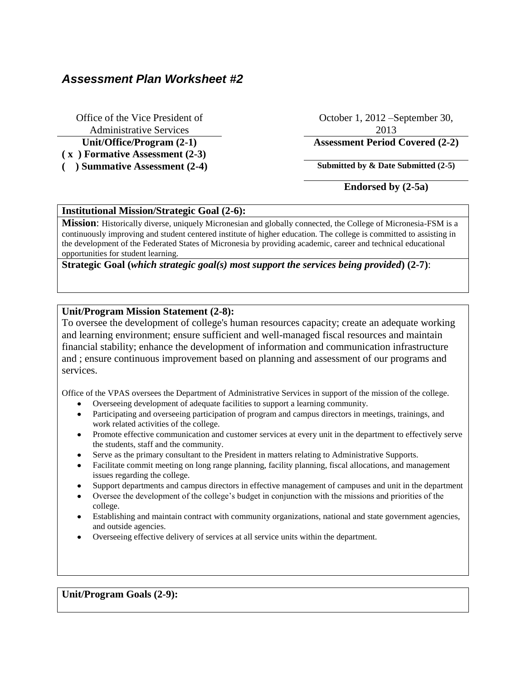## *Assessment Plan Worksheet #2*

Office of the Vice President of Administrative Services **Unit/Office/Program (2-1) Assessment Period Covered (2-2) ( x ) Formative Assessment (2-3)**

October 1, 2012 –September 30, 2013

( ) **Summative Assessment (2-4) Submitted by & Date Submitted (2-5)** 

**Endorsed by (2-5a)**

### **Institutional Mission/Strategic Goal (2-6):**

**Mission**: Historically diverse, uniquely Micronesian and globally connected, the College of Micronesia-FSM is a continuously improving and student centered institute of higher education. The college is committed to assisting in the development of the Federated States of Micronesia by providing academic, career and technical educational opportunities for student learning.

**Strategic Goal (***which strategic goal(s) most support the services being provided***) (2-7)**:

### **Unit/Program Mission Statement (2-8):**

To oversee the development of college's human resources capacity; create an adequate working and learning environment; ensure sufficient and well-managed fiscal resources and maintain financial stability; enhance the development of information and communication infrastructure and ; ensure continuous improvement based on planning and assessment of our programs and services.

Office of the VPAS oversees the Department of Administrative Services in support of the mission of the college.

- Overseeing development of adequate facilities to support a learning community.
- Participating and overseeing participation of program and campus directors in meetings, trainings, and work related activities of the college.
- Promote effective communication and customer services at every unit in the department to effectively serve  $\bullet$ the students, staff and the community.
- Serve as the primary consultant to the President in matters relating to Administrative Supports.
- Facilitate commit meeting on long range planning, facility planning, fiscal allocations, and management issues regarding the college.
- Support departments and campus directors in effective management of campuses and unit in the department
- Oversee the development of the college's budget in conjunction with the missions and priorities of the college.
- Establishing and maintain contract with community organizations, national and state government agencies, and outside agencies.
- Overseeing effective delivery of services at all service units within the department.

#### **Unit/Program Goals (2-9):**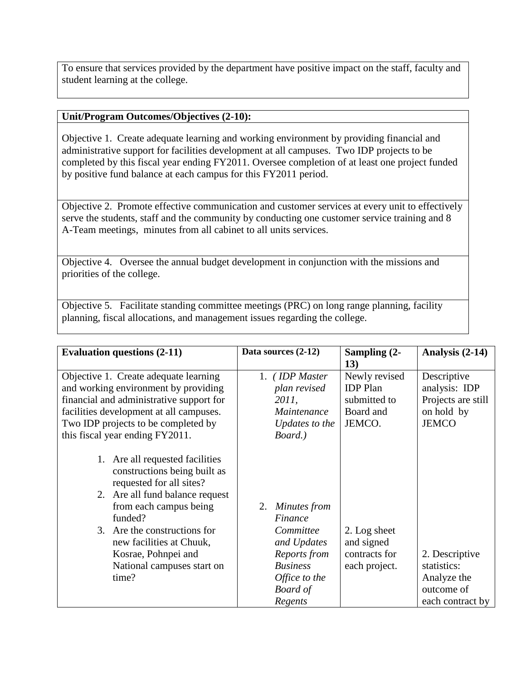To ensure that services provided by the department have positive impact on the staff, faculty and student learning at the college.

## **Unit/Program Outcomes/Objectives (2-10):**

Objective 1. Create adequate learning and working environment by providing financial and administrative support for facilities development at all campuses. Two IDP projects to be completed by this fiscal year ending FY2011. Oversee completion of at least one project funded by positive fund balance at each campus for this FY2011 period.

Objective 2. Promote effective communication and customer services at every unit to effectively serve the students, staff and the community by conducting one customer service training and 8 A-Team meetings, minutes from all cabinet to all units services.

Objective 4. Oversee the annual budget development in conjunction with the missions and priorities of the college.

Objective 5. Facilitate standing committee meetings (PRC) on long range planning, facility planning, fiscal allocations, and management issues regarding the college.

| <b>Evaluation questions (2-11)</b>       | Data sources (2-12) | Sampling (2-    | Analysis (2-14)    |
|------------------------------------------|---------------------|-----------------|--------------------|
|                                          |                     | 13)             |                    |
| Objective 1. Create adequate learning    | (IDP Master<br>1.   | Newly revised   | Descriptive        |
| and working environment by providing     | plan revised        | <b>IDP</b> Plan | analysis: IDP      |
| financial and administrative support for | 2011,               | submitted to    | Projects are still |
| facilities development at all campuses.  | Maintenance         | Board and       | on hold by         |
| Two IDP projects to be completed by      | Updates to the      | JEMCO.          | <b>JEMCO</b>       |
| this fiscal year ending FY2011.          | Board.)             |                 |                    |
|                                          |                     |                 |                    |
| 1. Are all requested facilities          |                     |                 |                    |
| constructions being built as             |                     |                 |                    |
| requested for all sites?                 |                     |                 |                    |
| 2. Are all fund balance request          |                     |                 |                    |
| from each campus being                   | Minutes from<br>2.  |                 |                    |
| funded?                                  | Finance             |                 |                    |
| 3. Are the constructions for             | Committee           | 2. Log sheet    |                    |
| new facilities at Chuuk,                 | and Updates         | and signed      |                    |
| Kosrae, Pohnpei and                      | Reports from        | contracts for   | 2. Descriptive     |
| National campuses start on               | <b>Business</b>     | each project.   | statistics:        |
| time?                                    | Office to the       |                 | Analyze the        |
|                                          | <b>Board</b> of     |                 | outcome of         |
|                                          | Regents             |                 | each contract by   |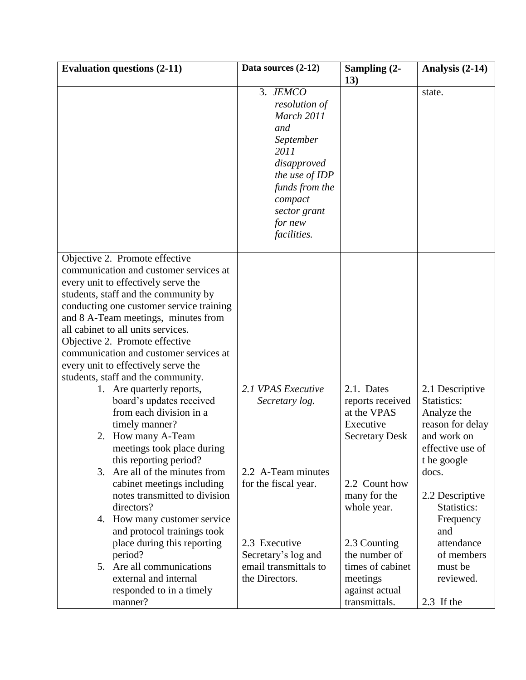| <b>Evaluation questions (2-11)</b>                          | Data sources (2-12)   | Sampling (2-          | Analysis (2-14)      |
|-------------------------------------------------------------|-----------------------|-----------------------|----------------------|
|                                                             |                       | 13)                   |                      |
|                                                             | 3. JEMCO              |                       | state.               |
|                                                             | resolution of         |                       |                      |
|                                                             | March 2011            |                       |                      |
|                                                             | and                   |                       |                      |
|                                                             | September             |                       |                      |
|                                                             | 2011                  |                       |                      |
|                                                             | disapproved           |                       |                      |
|                                                             | the use of IDP        |                       |                      |
|                                                             | funds from the        |                       |                      |
|                                                             | compact               |                       |                      |
|                                                             | sector grant          |                       |                      |
|                                                             | for new               |                       |                      |
|                                                             | facilities.           |                       |                      |
| Objective 2. Promote effective                              |                       |                       |                      |
| communication and customer services at                      |                       |                       |                      |
| every unit to effectively serve the                         |                       |                       |                      |
| students, staff and the community by                        |                       |                       |                      |
| conducting one customer service training                    |                       |                       |                      |
| and 8 A-Team meetings, minutes from                         |                       |                       |                      |
| all cabinet to all units services.                          |                       |                       |                      |
| Objective 2. Promote effective                              |                       |                       |                      |
| communication and customer services at                      |                       |                       |                      |
| every unit to effectively serve the                         |                       |                       |                      |
| students, staff and the community.                          |                       |                       |                      |
| 1. Are quarterly reports,                                   | 2.1 VPAS Executive    | 2.1. Dates            | 2.1 Descriptive      |
| board's updates received                                    | Secretary log.        | reports received      | Statistics:          |
| from each division in a                                     |                       | at the VPAS           | Analyze the          |
| timely manner?                                              |                       | Executive             | reason for delay     |
| 2. How many A-Team                                          |                       | <b>Secretary Desk</b> | and work on          |
| meetings took place during                                  |                       |                       | effective use of     |
| this reporting period?<br>Are all of the minutes from<br>3. | 2.2 A-Team minutes    |                       | t he google<br>docs. |
| cabinet meetings including                                  | for the fiscal year.  | 2.2 Count how         |                      |
| notes transmitted to division                               |                       | many for the          | 2.2 Descriptive      |
| directors?                                                  |                       | whole year.           | Statistics:          |
| 4. How many customer service                                |                       |                       | Frequency            |
| and protocol trainings took                                 |                       |                       | and                  |
| place during this reporting                                 | 2.3 Executive         | 2.3 Counting          | attendance           |
| period?                                                     | Secretary's log and   | the number of         | of members           |
| 5. Are all communications                                   | email transmittals to | times of cabinet      | must be              |
| external and internal                                       | the Directors.        | meetings              | reviewed.            |
| responded to in a timely                                    |                       | against actual        |                      |
| manner?                                                     |                       | transmittals.         | 2.3 If the           |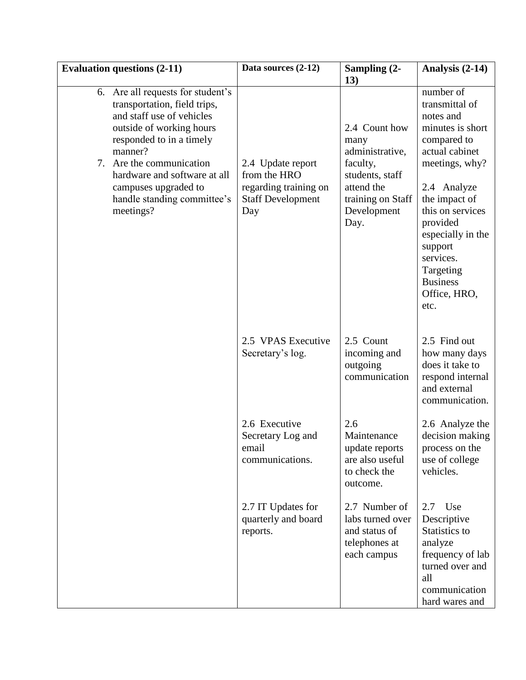| <b>Evaluation questions (2-11)</b> |                                                                                                                                                        | Data sources (2-12)                                                                           | Sampling (2-<br>13)                                                                   | Analysis (2-14)                                                                                                                                                                     |
|------------------------------------|--------------------------------------------------------------------------------------------------------------------------------------------------------|-----------------------------------------------------------------------------------------------|---------------------------------------------------------------------------------------|-------------------------------------------------------------------------------------------------------------------------------------------------------------------------------------|
| manner?                            | 6. Are all requests for student's<br>transportation, field trips,<br>and staff use of vehicles<br>outside of working hours<br>responded to in a timely |                                                                                               | 2.4 Count how<br>many<br>administrative,                                              | number of<br>transmittal of<br>notes and<br>minutes is short<br>compared to<br>actual cabinet                                                                                       |
| meetings?                          | 7. Are the communication<br>hardware and software at all<br>campuses upgraded to<br>handle standing committee's                                        | 2.4 Update report<br>from the HRO<br>regarding training on<br><b>Staff Development</b><br>Day | faculty,<br>students, staff<br>attend the<br>training on Staff<br>Development<br>Day. | meetings, why?<br>2.4 Analyze<br>the impact of<br>this on services<br>provided<br>especially in the<br>support<br>services.<br>Targeting<br><b>Business</b><br>Office, HRO,<br>etc. |
|                                    |                                                                                                                                                        | 2.5 VPAS Executive<br>Secretary's log.                                                        | 2.5 Count<br>incoming and<br>outgoing<br>communication                                | 2.5 Find out<br>how many days<br>does it take to<br>respond internal<br>and external<br>communication.                                                                              |
|                                    |                                                                                                                                                        | 2.6 Executive<br>Secretary Log and<br>email<br>communications.                                | 2.6<br>Maintenance<br>update reports<br>are also useful<br>to check the<br>outcome.   | 2.6 Analyze the<br>decision making<br>process on the<br>use of college<br>vehicles.                                                                                                 |
|                                    |                                                                                                                                                        | 2.7 IT Updates for<br>quarterly and board<br>reports.                                         | 2.7 Number of<br>labs turned over<br>and status of<br>telephones at<br>each campus    | $2.7$ Use<br>Descriptive<br>Statistics to<br>analyze<br>frequency of lab<br>turned over and<br>all<br>communication<br>hard wares and                                               |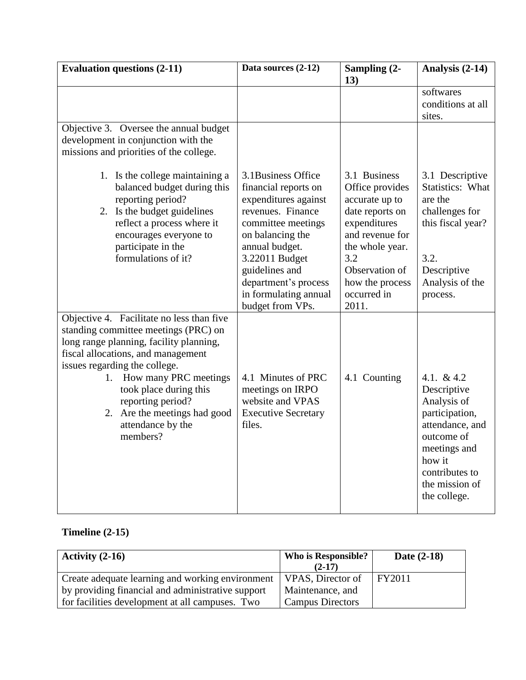| <b>Evaluation questions (2-11)</b>                                                                                                                                                                                                                                                                                                              | Data sources (2-12)                                                                                                                                                                                                                                           | Sampling (2-<br>13)                                                                                                                                                                            | Analysis (2-14)                                                                                                                                                            |
|-------------------------------------------------------------------------------------------------------------------------------------------------------------------------------------------------------------------------------------------------------------------------------------------------------------------------------------------------|---------------------------------------------------------------------------------------------------------------------------------------------------------------------------------------------------------------------------------------------------------------|------------------------------------------------------------------------------------------------------------------------------------------------------------------------------------------------|----------------------------------------------------------------------------------------------------------------------------------------------------------------------------|
|                                                                                                                                                                                                                                                                                                                                                 |                                                                                                                                                                                                                                                               |                                                                                                                                                                                                | softwares<br>conditions at all<br>sites.                                                                                                                                   |
| Objective 3. Oversee the annual budget<br>development in conjunction with the<br>missions and priorities of the college.                                                                                                                                                                                                                        |                                                                                                                                                                                                                                                               |                                                                                                                                                                                                |                                                                                                                                                                            |
| 1. Is the college maintaining a<br>balanced budget during this<br>reporting period?<br>2. Is the budget guidelines<br>reflect a process where it<br>encourages everyone to<br>participate in the<br>formulations of it?                                                                                                                         | 3.1 Business Office<br>financial reports on<br>expenditures against<br>revenues. Finance<br>committee meetings<br>on balancing the<br>annual budget.<br>3.22011 Budget<br>guidelines and<br>department's process<br>in formulating annual<br>budget from VPs. | 3.1 Business<br>Office provides<br>accurate up to<br>date reports on<br>expenditures<br>and revenue for<br>the whole year.<br>3.2<br>Observation of<br>how the process<br>occurred in<br>2011. | 3.1 Descriptive<br><b>Statistics: What</b><br>are the<br>challenges for<br>this fiscal year?<br>3.2.<br>Descriptive<br>Analysis of the<br>process.                         |
| Objective 4. Facilitate no less than five<br>standing committee meetings (PRC) on<br>long range planning, facility planning,<br>fiscal allocations, and management<br>issues regarding the college.<br>1. How many PRC meetings<br>took place during this<br>reporting period?<br>2. Are the meetings had good<br>attendance by the<br>members? | 4.1 Minutes of PRC<br>meetings on IRPO<br>website and VPAS<br><b>Executive Secretary</b><br>files.                                                                                                                                                            | 4.1 Counting                                                                                                                                                                                   | 4.1. $&4.2$<br>Descriptive<br>Analysis of<br>participation,<br>attendance, and<br>outcome of<br>meetings and<br>how it<br>contributes to<br>the mission of<br>the college. |

# **Timeline (2-15)**

| Activity $(2-16)$                                 | Who is Responsible?<br>$(2-17)$ | Date $(2-18)$ |
|---------------------------------------------------|---------------------------------|---------------|
| Create adequate learning and working environment  | VPAS, Director of               | FY2011        |
| by providing financial and administrative support | Maintenance, and                |               |
| for facilities development at all campuses. Two   | <b>Campus Directors</b>         |               |